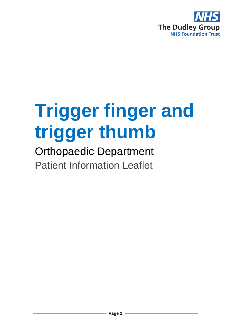

# **Trigger finger and trigger thumb**

Orthopaedic Department Patient Information Leaflet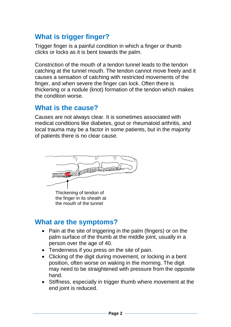# **What is trigger finger?**

Trigger finger is a painful condition in which a finger or thumb clicks or locks as it is bent towards the palm.

Constriction of the mouth of a tendon tunnel leads to the tendon catching at the tunnel mouth. The tendon cannot move freely and it causes a sensation of catching with restricted movements of the finger, and when severe the finger can lock. Often there is thickening or a nodule (knot) formation of the tendon which makes the condition worse.

#### **What is the cause?**

Causes are not always clear. It is sometimes associated with medical conditions like diabetes, gout or rheumatoid arthritis, and local trauma may be a factor in some patients, but in the majority of patients there is no clear cause.



Thickening of tendon of the finger in its sheath at the mouth of the tunnel

### **What are the symptoms?**

- Pain at the site of triggering in the palm (fingers) or on the palm surface of the thumb at the middle joint, usually in a person over the age of 40.
- Tenderness if you press on the site of pain.
- Clicking of the digit during movement, or locking in a bent position, often worse on waking in the morning. The digit may need to be straightened with pressure from the opposite hand.
- Stiffness, especially in trigger thumb where movement at the end joint is reduced.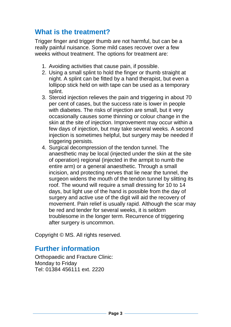# **What is the treatment?**

Trigger finger and trigger thumb are not harmful, but can be a really painful nuisance. Some mild cases recover over a few weeks without treatment. The options for treatment are:

- 1. Avoiding activities that cause pain, if possible.
- 2. Using a small splint to hold the finger or thumb straight at night. A splint can be fitted by a hand therapist, but even a lollipop stick held on with tape can be used as a temporary splint.
- 3. Steroid injection relieves the pain and triggering in about 70 per cent of cases, but the success rate is lower in people with diabetes. The risks of injection are small, but it very occasionally causes some thinning or colour change in the skin at the site of injection. Improvement may occur within a few days of injection, but may take several weeks. A second injection is sometimes helpful, but surgery may be needed if triggering persists.
- 4. Surgical decompression of the tendon tunnel. The anaesthetic may be local (injected under the skin at the site of operation) regional (injected in the armpit to numb the entire arm) or a general anaesthetic. Through a small incision, and protecting nerves that lie near the tunnel, the surgeon widens the mouth of the tendon tunnel by slitting its roof. The wound will require a small dressing for 10 to 14 days, but light use of the hand is possible from the day of surgery and active use of the digit will aid the recovery of movement. Pain relief is usually rapid. Although the scar may be red and tender for several weeks, it is seldom troublesome in the longer term. Recurrence of triggering after surgery is uncommon.

Copyright © MS. All rights reserved.

# **Further information**

Orthopaedic and Fracture Clinic: Monday to Friday Tel: 01384 456111 ext. 2220